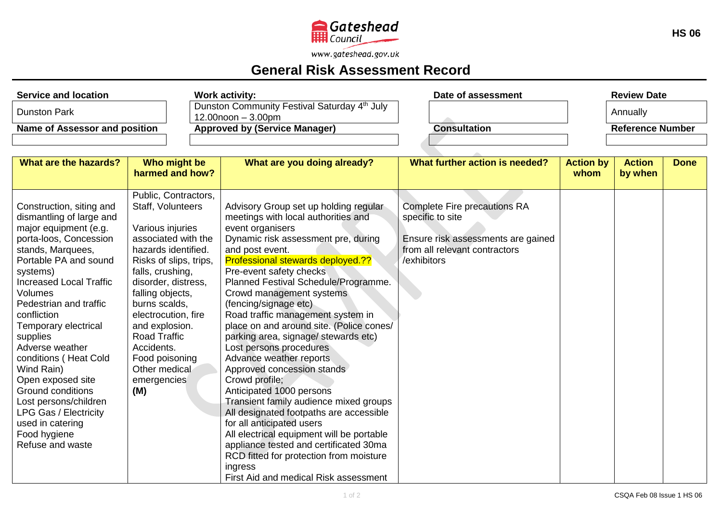

www.gateshead.gov.uk

## **General Risk Assessment Record**

| <b>Service and location</b>      |                                       |                                                                                     | <b>Work activity:</b>                                                         | Date of assessment                 |                         | <b>Review Date</b> |             |  |
|----------------------------------|---------------------------------------|-------------------------------------------------------------------------------------|-------------------------------------------------------------------------------|------------------------------------|-------------------------|--------------------|-------------|--|
| <b>Dunston Park</b>              |                                       | Dunston Community Festival Saturday 4 <sup>th</sup> July<br>$12.00$ noon $-3.00$ pm |                                                                               |                                    | Annually                |                    |             |  |
| Name of Assessor and position    |                                       | <b>Approved by (Service Manager)</b>                                                | <b>Consultation</b>                                                           |                                    | <b>Reference Number</b> |                    |             |  |
|                                  |                                       |                                                                                     |                                                                               |                                    |                         |                    |             |  |
|                                  |                                       |                                                                                     |                                                                               |                                    |                         |                    |             |  |
| <b>What are the hazards?</b>     | Who might be<br>harmed and how?       |                                                                                     | What are you doing already?                                                   | What further action is needed?     | <b>Action by</b>        | <b>Action</b>      | <b>Done</b> |  |
|                                  |                                       |                                                                                     |                                                                               |                                    | whom                    | by when            |             |  |
|                                  | Public, Contractors,                  |                                                                                     |                                                                               |                                    |                         |                    |             |  |
| Construction, siting and         | Staff, Volunteers                     |                                                                                     | Advisory Group set up holding regular                                         | Complete Fire precautions RA       |                         |                    |             |  |
| dismantling of large and         |                                       |                                                                                     | meetings with local authorities and                                           | specific to site                   |                         |                    |             |  |
| major equipment (e.g.            | Various injuries                      |                                                                                     | event organisers                                                              |                                    |                         |                    |             |  |
| porta-loos, Concession           | associated with the                   |                                                                                     | Dynamic risk assessment pre, during                                           | Ensure risk assessments are gained |                         |                    |             |  |
| stands, Marquees,                | hazards identified.                   |                                                                                     | and post event.                                                               | from all relevant contractors      |                         |                    |             |  |
| Portable PA and sound            | Risks of slips, trips,                |                                                                                     | Professional stewards deployed.??                                             | /exhibitors                        |                         |                    |             |  |
| systems)                         | falls, crushing,                      |                                                                                     | Pre-event safety checks                                                       |                                    |                         |                    |             |  |
| <b>Increased Local Traffic</b>   | disorder, distress,                   |                                                                                     | Planned Festival Schedule/Programme.                                          |                                    |                         |                    |             |  |
| <b>Volumes</b>                   | falling objects,                      |                                                                                     | Crowd management systems                                                      |                                    |                         |                    |             |  |
| Pedestrian and traffic           | burns scalds,                         |                                                                                     | (fencing/signage etc)                                                         |                                    |                         |                    |             |  |
| confliction                      | electrocution, fire                   |                                                                                     | Road traffic management system in<br>place on and around site. (Police cones/ |                                    |                         |                    |             |  |
| Temporary electrical<br>supplies | and explosion.<br><b>Road Traffic</b> |                                                                                     | parking area, signage/ stewards etc)                                          |                                    |                         |                    |             |  |
| Adverse weather                  | Accidents.                            |                                                                                     | Lost persons procedures                                                       |                                    |                         |                    |             |  |
| conditions (Heat Cold            | Food poisoning                        |                                                                                     | Advance weather reports                                                       |                                    |                         |                    |             |  |
| Wind Rain)                       | Other medical                         |                                                                                     | Approved concession stands                                                    |                                    |                         |                    |             |  |
| Open exposed site                | emergencies                           |                                                                                     | Crowd profile;                                                                |                                    |                         |                    |             |  |
| <b>Ground conditions</b>         | (M)                                   |                                                                                     | Anticipated 1000 persons                                                      |                                    |                         |                    |             |  |
| Lost persons/children            |                                       |                                                                                     | Transient family audience mixed groups                                        |                                    |                         |                    |             |  |
| <b>LPG Gas / Electricity</b>     |                                       |                                                                                     | All designated footpaths are accessible                                       |                                    |                         |                    |             |  |
| used in catering                 |                                       |                                                                                     | for all anticipated users                                                     |                                    |                         |                    |             |  |
| Food hygiene                     |                                       |                                                                                     | All electrical equipment will be portable                                     |                                    |                         |                    |             |  |
| Refuse and waste                 |                                       |                                                                                     | appliance tested and certificated 30ma                                        |                                    |                         |                    |             |  |
|                                  |                                       |                                                                                     | RCD fitted for protection from moisture                                       |                                    |                         |                    |             |  |
|                                  |                                       |                                                                                     | ingress                                                                       |                                    |                         |                    |             |  |
|                                  |                                       |                                                                                     | First Aid and medical Risk assessment                                         |                                    |                         |                    |             |  |